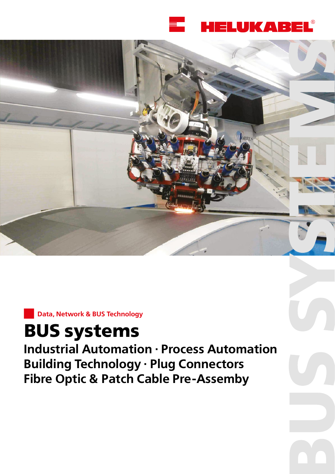





# **BUS systems**

**Industrial Automation · Process Automation Building Technology · Plug Connectors Fibre Optic & Patch Cable Pre-Assemby**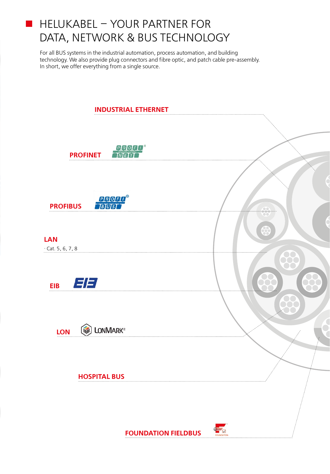#### $\blacksquare$  HELUKABEL – YOUR PARTNER FOR DATA, NETWORK & BUS TECHNOLOGY

For all BUS systems in the industrial automation, process automation, and building technology. We also provide plug connectors and fibre optic, and patch cable pre-assembly. In short, we offer everything from a single source.

| <b>INDUSTRIAL ETHERNET</b>                    |                                          |
|-----------------------------------------------|------------------------------------------|
|                                               |                                          |
| <b>PROFU<sup>®</sup><br/>MEIT</b><br>PROFINET |                                          |
| <b>PROFIT</b> ®<br>Teluist<br><b>PROFIBUS</b> |                                          |
| <br><b>LAN</b><br>$\cdot$ Cat. 5, 6, 7, 8     | w                                        |
| EE<br><b>EIB</b>                              |                                          |
| <b>THE LONMARK®</b><br>LON                    |                                          |
| <b>HOSPITAL BUS</b>                           |                                          |
|                                               | FOUNDATION<br><b>FOUNDATION FIELDBUS</b> |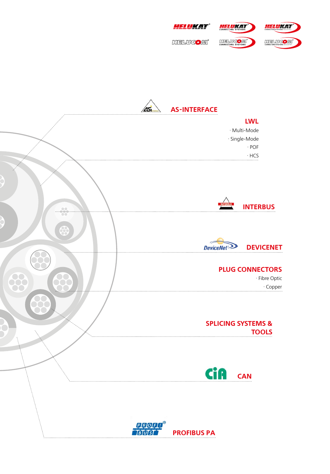



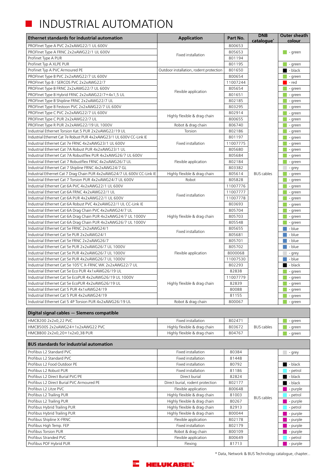#### INDUSTRIAL AUTOMATION **Tale**

| <b>Ethernet standards for industrial automation</b>                     | <b>Application</b>                      | Part No. | <b>DNB</b><br>catalogue* | Outer sheath<br>colour |
|-------------------------------------------------------------------------|-----------------------------------------|----------|--------------------------|------------------------|
| PROFInet Type A PVC 2x2xAWG22/1 UL 600V                                 |                                         | 800653   |                          |                        |
| PROFInet Type A FRNC 2x2xAWG22/1 UL 600V                                |                                         | 805653   |                          | - green                |
| Profinet Type A PUR                                                     | Fixed installation                      | 801194   |                          |                        |
| Profinet Typ A XLPE PUR                                                 |                                         | 801195   |                          | - green                |
| Profinet Typ A PVC Armoured PE                                          | Outdoor installation, rodent protection | 801650   |                          | - black                |
| PROFInet Type B PVC 2x2xAWG22/7 UL 600V                                 |                                         | 800654   |                          | - green                |
| PROFInet Typ B / SERCOS PVC 2x2xAWG22/7                                 |                                         | 11007244 |                          | - red                  |
| PROFInet Type B FRNC 2x2xAWG22/7 UL 600V                                |                                         | 805654   |                          | - green                |
| PROFInet Type B Hybrid FRNC 2x2xAWG22/7+4x1,5 UL                        | Flexible application                    | 801651   |                          | - green                |
| PROFInet Type B Shipline FRNC 2x2xAWG22/7 UL                            |                                         | 802185   |                          | - green                |
| PROFInet Type B Festoon PVC 2x2xAWG22/7 UL 600V                         |                                         | 803295   |                          | - green                |
| PROFInet Type C PVC 2x2xAWG22/7 UL 600V                                 |                                         | 802914   |                          | - green                |
| PROFInet Type C PUR 2x2xAWG22/7 UL                                      | Highly flexible & drag chain            | 800655   |                          | - green                |
| PROFInet Type R PUR 2x2xAWG22/19 UL 1000V                               | Robot & drag chain                      | 806740   |                          | - green                |
| Industrial Ethernet Torsion Kat.5 PUR 2x2xAWG22/19 UL                   | Torsion                                 | 802186   |                          | - green                |
| Industrial Ethernet Cat 7e Robust PUR 4x2xAWG23/1 UL 600V CC-Link IE    |                                         | 801197   |                          | - green                |
| Industrial Ethernet Cat 7e FRNC 4x2xAWG23/1 UL 600V                     | Fixed installation                      | 11007775 |                          | - green                |
| Industrial Ethernet Cat 7A Robust PUR 4x2xAWG23/1 UL                    |                                         | 805680   |                          | - green                |
| Industrial Ethernet Cat 7A Robustflex PUR 4x2xAWG26/7 UL 600V           |                                         | 805684   |                          | - green                |
| Industrial Ethernet Cat 7 Robustflex FRNC 4x2xAWG26/7 UL                | Flexible application                    | 802184   |                          | - green                |
| Industrial Ethernet Cat 7 Shipline FRNC 4x2xAWG24/7 GL                  |                                         | 803382   |                          | - grey                 |
| Industrial Ethernet Cat 7 Drag Chain PUR 4x2xAWG24/7 UL 600V CC-Link IE | Highly flexible & drag chain            | 805614   | <b>BUS</b> cables        | - green                |
| Industrial Ethernet Cat 7 Torsion PUR 4x2xAWG24/7 UL 600V               | Robot                                   | 805828   |                          | - green                |
| Industrial Ethernet Cat 6A PVC 4x2xAWG22/1 UL 600V                      |                                         | 11007776 |                          | - green                |
| Industrial Ethernet Cat 6A FRNC 4x2xAWG22/1 UL                          |                                         | 11007777 |                          | - green                |
| Industrial Ethernet Cat 6A PUR 4x2xAWG22/1 UL 600V                      | Fixed installation                      | 11007778 |                          | - green                |
| Industrial Ethernet Cat 6A Robust PVC 4x2xAWG22/1 UL CC-Link IE         |                                         | 803693   |                          | - green                |
| Industrial Ethernet Cat 6A Drag Chain PVC 4x2xAWG24/7 UL                |                                         | 805704   |                          | - green                |
| Industrial Ethernet Cat 6A Drag Chain PUR 4x2xAWG24/7 UL 1000V          | Highly flexible & drag chain            | 805703   |                          | - green                |
| Industrial Ethernet Cat 6A Drag Chain PUR 4x2xAWG26/7 UL 1000V          |                                         | 805548   |                          | - green                |
| Industrial Ethernet Cat 5e FRNC 2x2xAWG24/1                             |                                         | 805655   |                          | - blue                 |
| Industrial Ethernet Cat 5e PUR 2x2xAWG24/1                              | Fixed installation                      | 805681   |                          | - blue                 |
| Industrial Ethernet Cat 5e FRNC 2x2xAWG26/7                             |                                         | 805701   |                          | - blue                 |
| Industrial Ethernet Cat 5e PUR 2x2xAWG26/7 UL 1000V                     |                                         | 805702   |                          | - blue                 |
| Industrial Ethernet Cat 5e PUR 4x2xAWG26/7 UL 1000V                     | Flexible application                    | 8000068  |                          | - grey                 |
| Industrial Ethernet Cat 5e PUR 4x2xAWG26/7 UL 1000V                     |                                         | 11007530 |                          | - blue                 |
| Industrial Ethernet Cat 5e 105°C X-FRNC WK 2x2xAWG22/7 UL               |                                         | 802293   |                          | - black                |
| Industrial Ethernet Cat 5e Eco PUR 4x1xAWG26/19 UL                      |                                         | 82838    |                          | - green                |
| Industrial Ethernet Cat 5e EcoPUR 4x2xAWG26/19 UL 1000V                 |                                         | 11007779 |                          | - green                |
| Industrial Ethernet Cat 5e EcoPUR 4x2xAWG26/19 UL                       | Highly flexible & drag chain            | 82839    |                          | - green                |
| Industrial Ethernet Cat 5 PUR 4x1xAWG24/19                              |                                         | 80088    |                          | - green                |
| Industrial Ethernet Cat 5 PUR 4x2xAWG24/19                              |                                         | 81155    |                          | - green                |
| Industrial Ethernet Cat 5 4P Torsion PUR 4x2xAWG26/19 UL                | Robot & drag chain                      | 800067   |                          | - green                |
|                                                                         |                                         |          |                          |                        |
| Digital signal cables - Siemens compatible                              |                                         |          |                          |                        |
| HMCB200 2x2x0,22 PVC                                                    | Fixed installation                      | 802471   |                          | - green                |
| HMCB500S 2x2xAWG24+1x2xAWG22 PVC                                        | Highly flexible & drag chain            | 803672   | <b>BUS</b> cables        | - green                |
| HMCB800 2x2x0,20+1x2x0,38 PUR                                           | Highly flexible & drag chain            | 804767   |                          | - green                |
| <b>BUS standards for industrial automation</b>                          |                                         |          |                          |                        |
| Profibus L2 Standard PVC                                                | Fixed installation                      | 80384    |                          | - grey                 |
| Profibus L2 Standard PVC                                                | Fixed installation                      | 81448    |                          |                        |
| Profibus L2 Food Outdoor PE                                             | Fixed installation                      | 80792    |                          | $\blacksquare$ - black |
| Profibus L2 Robust PUR                                                  | Fixed installation                      | 81186    |                          | - petrol               |
| Profibus L2 Direct Burial PVC/PE                                        | Direct burial                           | 82824    |                          | $\blacksquare$ - black |
| Profibus L2 Direct Burial PVC Armoured PE                               | Direct burial, rodent protection        | 802177   |                          | $-$ black              |
| Profibus L2 Litze PVC                                                   | Flexible application                    | 800648   |                          | - purple               |
| Profibus L2 Trailing PUR                                                | Highly flexible & drag chain            | 81003    |                          | - petrol               |
| Profibus L2 Trailing PUR                                                | Highly flexible & drag chain            | 80267    | <b>BUS</b> cables        | - purple               |
| Profibus Hybrid Trailing PUR                                            | Highly flexible & drag chain            | 82913    |                          | - petrol               |
| Profibus Hybrid Trailing PUR                                            | Highly flexible & drag chain            | 800044   |                          | - purple               |
| Profibus Shipline X-FRNC                                                | Flexible application                    | 802178   |                          | - purple               |
| Profibus High Temp. FEP                                                 | Fixed installation                      | 802179   |                          | - purple               |
| Profibus Torsion PUR                                                    | Robot & drag chain                      | 800109   |                          | - purple               |



Profibus Stranded PVC **Flexible application** Flexible application 800649 Profibus POF Hybrid PUR Flexing Flexing Rexing 81713 3 Purple Purple 1 and 2017 13 Purple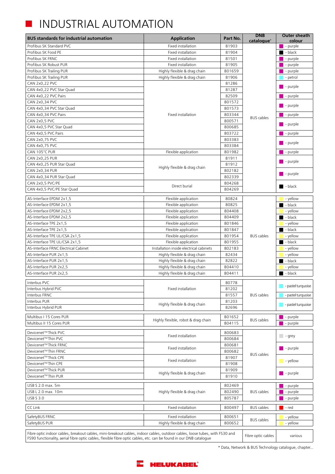### **INDUSTRIAL AUTOMATION**

| <b>BUS standards for industrial automation</b>                                                                                                                                                                                                    | <b>Application</b>                      | Part No.         | <b>DNB</b><br>catalogue* | Outer sheath<br>colour  |
|---------------------------------------------------------------------------------------------------------------------------------------------------------------------------------------------------------------------------------------------------|-----------------------------------------|------------------|--------------------------|-------------------------|
| Profibus SK Standard PVC                                                                                                                                                                                                                          | Fixed installation                      | 81903            |                          | $\blacksquare$ - purple |
| Profibus SK Food PE                                                                                                                                                                                                                               | Fixed installation                      | 81904            |                          | $\blacksquare$ - black  |
| Profibus SK FRNC                                                                                                                                                                                                                                  | Fixed installation                      | 81501            |                          | $\blacksquare$ - purple |
| Profibus SK Robust PUR                                                                                                                                                                                                                            | Fixed installation                      | 81905            |                          | $\blacksquare$ - purple |
| Profibus SK Trailing PUR                                                                                                                                                                                                                          | Highly flexible & drag chain            | 801659           |                          | $\blacksquare$ - purple |
| Profibus SK Trailing PUR                                                                                                                                                                                                                          | Highly flexible & drag chain            | 81906            |                          | - petrol                |
| CAN 2x0,22 PVC                                                                                                                                                                                                                                    |                                         | 81286            |                          |                         |
| CAN 4x0,22 PVC Star Quad                                                                                                                                                                                                                          |                                         | 81287            |                          | $\blacksquare$ - purple |
| CAN 4x0,22 PVC Pairs                                                                                                                                                                                                                              |                                         | 82509            |                          | $\blacksquare$ - purple |
| CAN 2x0,34 PVC                                                                                                                                                                                                                                    |                                         | 801572           |                          |                         |
| CAN 4x0,34 PVC Star Quad                                                                                                                                                                                                                          |                                         | 801573           |                          | $\blacksquare$ - purple |
| CAN 4x0,34 PVC Pairs                                                                                                                                                                                                                              | Fixed installation                      | 803344           |                          | $\blacksquare$ - purple |
| CAN 2x0,5 PVC                                                                                                                                                                                                                                     |                                         | 800571           | <b>BUS</b> cables        |                         |
| CAN 4x0,5 PVC Star Quad                                                                                                                                                                                                                           |                                         | 800685           |                          | $\blacksquare$ - purple |
| CAN 4x0,5 PVC Pairs                                                                                                                                                                                                                               |                                         | 803722           |                          | - purple                |
| CAN 2x0,75 PVC                                                                                                                                                                                                                                    |                                         | 803383           |                          |                         |
| CAN 4x0,75 PVC                                                                                                                                                                                                                                    |                                         | 803384           |                          | $\blacksquare$ - purple |
| CAN 105°C PUR                                                                                                                                                                                                                                     | Flexible application                    | 801982           |                          | $\blacksquare$ - purple |
| <b>CAN 2x0,25 PUR</b>                                                                                                                                                                                                                             |                                         | 81911            |                          |                         |
| CAN 4x0,25 PUR Star Quad                                                                                                                                                                                                                          |                                         | 81912            |                          | $\blacksquare$ - purple |
| <b>CAN 2x0,34 PUR</b>                                                                                                                                                                                                                             | Highly flexible & drag chain            | 802182           |                          |                         |
| CAN 4x0,34 PUR Star Quad                                                                                                                                                                                                                          |                                         | 802339           |                          | $\blacksquare$ - purple |
| CAN 2x0,5 PVC/PE                                                                                                                                                                                                                                  |                                         | 804268           |                          |                         |
| CAN 4x0,5 PVC/PE Star Quad                                                                                                                                                                                                                        | Direct burial                           | 804269           |                          | $\blacksquare$ - black  |
| AS-Interface EPDM 2x1,5                                                                                                                                                                                                                           | Flexible application                    | 80824            |                          | - yellow                |
| AS-Interface EPDM 2x1,5                                                                                                                                                                                                                           | Flexible application                    | 80825            |                          | $\blacksquare$ - black  |
| AS-Interface EPDM 2x2,5                                                                                                                                                                                                                           | Flexible application                    | 804408           |                          | - yellow                |
| AS-Interface EPDM 2x2,5                                                                                                                                                                                                                           | Flexible application                    | 804409           |                          | $\blacksquare$ - black  |
| AS-Interface TPE 2x1,5                                                                                                                                                                                                                            | Flexible application                    | 801846           |                          | - yellow                |
| AS-Interface TPE 2x1,5                                                                                                                                                                                                                            | Flexible application                    | 801847           |                          | $\blacksquare$ - black  |
| AS-Interface TPE UL/CSA 2x1,5                                                                                                                                                                                                                     | Flexible application                    | 801954           | <b>BUS</b> cables        | - yellow                |
| AS-Interface TPE UL/CSA 2x1,5                                                                                                                                                                                                                     | Flexible application                    | 801955           |                          | $\blacksquare$ - black  |
| AS-Interface FRNC Electrical Cabinet                                                                                                                                                                                                              | Installation inside electrical cabinets | 802183           |                          | - yellow                |
| AS-Interface PUR 2x1,5                                                                                                                                                                                                                            | Highly flexible & drag chain            | 82434            |                          | - yellow                |
| AS-Interface PUR 2x1.5                                                                                                                                                                                                                            | Highly flexible & drag chain            | 82822            |                          | $\blacksquare$ - black  |
| AS-Interface PUR 2x2,5                                                                                                                                                                                                                            | Highly flexible & drag chain            | 804410           |                          | - yellow                |
| AS-Interface PUR 2x2,5                                                                                                                                                                                                                            | Highly flexible & drag chain            | 804411           |                          | $\blacksquare$ - black  |
| Interbus PVC                                                                                                                                                                                                                                      |                                         | 80778            |                          |                         |
| Interbus Hybrid PVC                                                                                                                                                                                                                               | Fixed installation                      | 81202            |                          | pastel turquoise        |
| Interbus FRNC                                                                                                                                                                                                                                     |                                         | 81557            | <b>BUS</b> cables        | - pastel turquoise      |
| Interbus PUR                                                                                                                                                                                                                                      |                                         | 81203            |                          |                         |
| Interbus Hybrid PUR                                                                                                                                                                                                                               | Highly flexible & drag chain            | 82696            |                          | - pastel turquoise      |
|                                                                                                                                                                                                                                                   |                                         |                  |                          |                         |
| Multibus I 15 Cores PUR                                                                                                                                                                                                                           | Highly flexible, robot & drag chain     | 801652           | <b>BUS</b> cables        | - purple                |
| Multibus II 15 Cores PUR                                                                                                                                                                                                                          |                                         | 804115           |                          | - purple                |
| Devicenet™ Thick PVC                                                                                                                                                                                                                              | Fixed installation                      | 800683           |                          | $-$ qrey                |
| Devicenet <sup>™</sup> Thin PVC                                                                                                                                                                                                                   |                                         | 800684           |                          |                         |
| Devicenet™ Thick FRNC                                                                                                                                                                                                                             | Fixed installation                      | 800681           |                          | $\blacksquare$ - purple |
| Devicenet™Thin FRNC                                                                                                                                                                                                                               |                                         | 800682           | <b>BUS</b> cables        |                         |
| Devicenet™Thick CPE                                                                                                                                                                                                                               | Fixed installation                      | 81907            |                          | $\blacksquare$ - yellow |
| Devicenet <sup>™</sup> Thin CPE                                                                                                                                                                                                                   |                                         | 81908            |                          |                         |
| Devicenet™ Thick PUR                                                                                                                                                                                                                              | Highly flexible & drag chain            | 81909            |                          | $\blacksquare$ - purple |
| Devicenet <sup>™</sup> Thin PUR                                                                                                                                                                                                                   |                                         | 81910            |                          |                         |
| USB S 2.0 max. 5m                                                                                                                                                                                                                                 |                                         | 802469           |                          | $\blacksquare$ - purple |
| USB L 2.0 max. 10m                                                                                                                                                                                                                                | Highly flexible & drag chain            | 802490           | <b>BUS</b> cables        | - purple                |
| <b>USB S 3.0</b>                                                                                                                                                                                                                                  |                                         | 805787           |                          | - purple                |
| CC Link                                                                                                                                                                                                                                           | Fixed installation                      | 800497           | <b>BUS</b> cables        | - red                   |
|                                                                                                                                                                                                                                                   |                                         |                  |                          |                         |
| SafetyBUS FRNC                                                                                                                                                                                                                                    | Fixed installation                      | 800651<br>800652 | <b>BUS</b> cables        | - yellow                |
| SafetyBUS PUR                                                                                                                                                                                                                                     | Highly flexible & drag chain            |                  |                          | - yellow                |
| Fibre optic indoor cables, breakout cables, mini-breakout cables, indoor cables, outdoor cables, loose tubes, with FS30 and<br>FS90 functionality, aerial fibre optic cables, flexible fibre optic cables, etc. can be found in our DNB catalogue |                                         |                  | Fibre optic cables       | various                 |

\* Data, Network & BUS Technology catalogue, chapter...

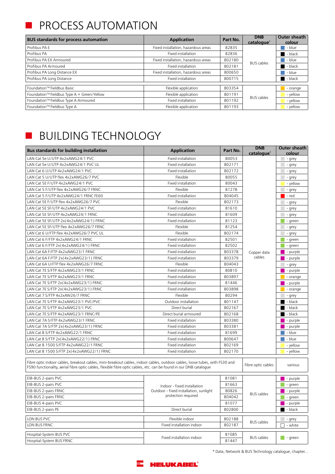#### PROCESS AUTOMATION

| <b>BUS standards for process automation</b> | <b>Application</b>                  | Part No. | <b>DNB</b><br>catalogue* | Outer sheath<br>colour |
|---------------------------------------------|-------------------------------------|----------|--------------------------|------------------------|
| Profibus PA E                               | Fixed installation, hazardous areas | 82835    |                          | - blue                 |
| Profibus PA                                 | Fixed installation                  | 82836    | <b>BUS</b> cables        | $-$ black              |
| Profibus PA EX Armoured                     | Fixed installation, hazardous areas | 802180   |                          | - blue                 |
| Profibus PA Armoured                        | Fixed installation                  | 802181   |                          | $-$ black              |
| Profibus PA Long Distance EX                | Fixed installation, hazardous areas | 800650   |                          | - blue                 |
| Profibus PA Long Distance                   | Fixed installation                  | 800715   |                          | - black                |
| Foundation™ Fieldbus Basic                  | Flexible application                | 803354   |                          | - orange               |
| Foundation™ Fieldbus Type A + Green/Yellow  | Flexible application                | 801191   | <b>BUS</b> cables        | - yellow               |
| Foundation™ Fieldbus Type A Armoured        | <b>Fixed installation</b>           | 801192   |                          | - yellow               |
| Foundation™ Fieldbus Type A                 | Flexible application                | 801193   |                          | - yellow               |

### BUILDING TECHNOLOGY

 $\overline{\phantom{a}}$ 

| <b>Bus standards for building installation</b>                                                                                                                                                                                                    | <b>Application</b>                     | Part No. | <b>DNB</b>             | Outer sheath            |
|---------------------------------------------------------------------------------------------------------------------------------------------------------------------------------------------------------------------------------------------------|----------------------------------------|----------|------------------------|-------------------------|
| LAN Cat 5e U/UTP 4x2xAWG24/1 PVC                                                                                                                                                                                                                  | Fixed installation                     | 80053    | catalogue <sup>*</sup> | colour<br>- grey        |
| LAN Cat 5e U/UTP 4x2xAWG24/1 PVC UL                                                                                                                                                                                                               | <b>Fixed installation</b>              | 802171   |                        | - grey                  |
| LAN Cat 6 U/UTP 4x2xAWG24/1 PVC                                                                                                                                                                                                                   | Fixed installation                     | 802172   |                        | - grey                  |
| LAN Cat 5 U/UTP flex 4x2xAWG26/7 PVC                                                                                                                                                                                                              | Flexible                               | 80055    |                        | - grey                  |
| LAN Cat 5E F/UTP 4x2xAWG24/1 PVC                                                                                                                                                                                                                  | Fixed installation                     | 80043    |                        | - yellow                |
| LAN Cat 5 F/UTP flex 4x2xAWG26/7 FRNC                                                                                                                                                                                                             | Flexible                               | 81278    |                        | - grey                  |
| LAN Cat 5 F/UTP 4x2xAWG24/1 FRNC FE60                                                                                                                                                                                                             | Fixed installation                     | 804045   |                        | - red                   |
| LAN Cat 5E F/UTP flex 4x2xAWG26/7 PVC                                                                                                                                                                                                             | Flexible                               | 802173   |                        | - grey                  |
| LAN Cat 5E SF/UTP 4x2xAWG24/1 PVC                                                                                                                                                                                                                 | Fixed installation                     | 81610    |                        | - grey                  |
| LAN Cat 5E SF/UTP 4x2xAWG24/1 FRNC                                                                                                                                                                                                                | Fixed installation                     | 81609    |                        | - grey                  |
| LAN Cat 5E SF/UTP 2x(4x2xAWG24/1) FRNC                                                                                                                                                                                                            | Fixed installation                     | 81123    |                        | - green                 |
| LAN Cat 5E SF/UTP flex 4x2xAWG26/7 FRNC                                                                                                                                                                                                           | Flexible                               | 81254    |                        | - grey                  |
| LAN Cat 6 U/FTP flex 4x2xAWG26/7 PVC UL                                                                                                                                                                                                           | Flexible                               | 802174   |                        | - grey                  |
| LAN Cat 6 F/FTP 4x2xAWG24/1 FRNC                                                                                                                                                                                                                  | Fixed installation                     | 82501    |                        | - green                 |
| LAN Cat 6 F/FTP 2x(4x2xAWG24/1) FRNC                                                                                                                                                                                                              | Fixed installation                     | 82502    |                        | - green                 |
| LAN Cat 6A F/FTP 4x2xAWG23/1 FRNC                                                                                                                                                                                                                 | Fixed installation                     | 803378   | Copper data            | - purple                |
| LAN Cat 6A F/FTP 2x(4x2xAWG23/1) FRNC                                                                                                                                                                                                             | Fixed installation                     | 803379   | cables                 | - purple                |
| LAN Cat 6A U/FTP flex 4x2xAWG26/7 FRNC                                                                                                                                                                                                            | Flexible                               | 804043   |                        | - grey                  |
| LAN Cat 7E S/FTP 4x2xAWG23/1 FRNC                                                                                                                                                                                                                 | Fixed installation                     | 80810    |                        | - purple                |
| LAN Cat 7E S/FTP 4x2xAWG23/1 FRNC                                                                                                                                                                                                                 | Fixed installation                     | 803897   |                        | - orange                |
| LAN Cat 7E S/FTP 2x(4x2xAWG23/1) FRNC                                                                                                                                                                                                             | Fixed installation                     | 81446    |                        | - purple                |
| LAN Cat 7E S/FTP 2x(4x2xAWG23/1) FRNC                                                                                                                                                                                                             | Fixed installation                     | 803898   |                        | - orange                |
| LAN Cat 7 S/FTP 4x2xAW26/7 FRNC                                                                                                                                                                                                                   | Flexible                               | 80294    |                        | - grey                  |
| LAN Cat 7E S/FTP 4x2xAWG23/1 PVC/PVC                                                                                                                                                                                                              | Outdoor installation                   | 801147   |                        | - black                 |
| LAN Cat 7E S/FTP 4x2xAWG23/1 PVC                                                                                                                                                                                                                  | Direct burial                          | 802167   |                        | - black                 |
| LAN Cat 7E S/FTP 4x2xAWG23/1 FRNC/PE                                                                                                                                                                                                              | Direct burial armoured                 | 802168   |                        | - black                 |
| LAN Cat 7A S/FTP 4x2xAWG23/1 FRNC                                                                                                                                                                                                                 | Fixed installation                     | 803380   |                        | - purple                |
| LAN Cat 7A S/FTP 2x(4x2xAWG23/1) FRNC                                                                                                                                                                                                             | Fixed installation                     | 803381   |                        | - purple                |
| LAN Cat 8 S/FTP 4x2xAWG22/1 FRNC                                                                                                                                                                                                                  | Fixed installation                     | 81699    |                        | - blue                  |
| LAN Cat 8 S/FTP 2x(4x2xAWG22/1) FRNC                                                                                                                                                                                                              | Fixed installation                     | 800647   |                        | - blue                  |
| LAN Cat 8 1500 S/FTP 4x2xAWG22/1 FRNC                                                                                                                                                                                                             | Fixed installation                     | 802169   |                        | - yellow                |
| LAN Cat 8 1500 S/FTP 2x(4x2xAWG22/1) FRNC                                                                                                                                                                                                         | Fixed installation                     | 802170   |                        | - yellow                |
| Fibre optic indoor cables, breakout cables, mini-breakout cables, indoor cables, outdoor cables, loose tubes, with FS30 and<br>FS90 functionality, aerial fibre optic cables, flexible fibre optic cables, etc. can be found in our DNB catalogue |                                        |          | Fibre optic cables     | various                 |
| EIB-BUS 2-pairs PVC                                                                                                                                                                                                                               |                                        | 81081    |                        | - purple                |
| EIB-BUS 2-pairs PVC                                                                                                                                                                                                                               | Indoor - fixed installation            | 81663    |                        | - green                 |
| EIB-BUS 2-pairs FRNC                                                                                                                                                                                                                              | Outdoor - fixed installation, sunlight | 80826    |                        | - purple                |
| EIB-BUS 2-pairs FRNC                                                                                                                                                                                                                              | protection required                    | 804042   | <b>BUS</b> cables      | - green                 |
| EIB-BUS 4-pairs PVC                                                                                                                                                                                                                               |                                        | 81077    |                        | $\blacksquare$ - purple |
| EIB-BUS 2-pairs PE                                                                                                                                                                                                                                | Direct burial                          | 802800   |                        | $\blacksquare$ - black  |
| LON BUS PVC                                                                                                                                                                                                                                       | Flexible indoor                        | 802188   |                        | - grey                  |
| LON BUS FRNC                                                                                                                                                                                                                                      | Fixed installation indoor              | 802187   | <b>BUS</b> cables      | - white                 |
| Hospital-System BUS PVC                                                                                                                                                                                                                           |                                        | 81085    |                        |                         |
| Hospital-System BUS FRNC                                                                                                                                                                                                                          | Fixed installation indoor<br>81447     |          | <b>BUS</b> cables      | $-$ green               |

\* Data, Network & BUS Technology catalogue, chapter...

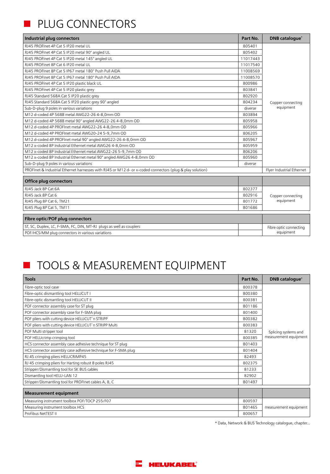## PLUG CONNECTORS

| Industrial plug connectors                                                                                | Part No. | <b>DNB</b> catalogue <sup>*</sup> |  |
|-----------------------------------------------------------------------------------------------------------|----------|-----------------------------------|--|
| R145 PROFInet 4P Cat 5 IP20 metal UL                                                                      | 805401   |                                   |  |
| RJ45 PROFInet 4P Cat 5 IP20 metal 90° angled UL                                                           | 805402   |                                   |  |
| RJ45 PROFInet 4P Cat 5 IP20 metal 145° angled UL                                                          | 11017443 |                                   |  |
| RJ45 PROFInet 8P Cat 6 IP20 metal UL                                                                      | 11017540 |                                   |  |
| RJ45 PROFInet 8P Cat 5 IP67 metal 180° Push Pull AIDA                                                     | 11008569 |                                   |  |
| RJ45 PROFInet 8P Cat 5 IP67 metal 180° Push Pull AIDA                                                     | 11008570 |                                   |  |
| RJ45 PROFInet 4P Cat 5 IP20 plastic black UL                                                              | 800986   |                                   |  |
| RJ45 PROFInet 4P Cat 5 IP20 plastic grey                                                                  | 803841   |                                   |  |
| RJ45 Standard 568A Cat 5 IP20 plastic grey                                                                | 802920   |                                   |  |
| RJ45 Standard 568A Cat 5 IP20 plastic grey 90° angled                                                     | 804234   | Copper connecting                 |  |
| Sub-D-plug 9 poles in various variations                                                                  | diverse  | equipment                         |  |
| M12 d-coded 4P 568B metal AWG22-26 4-8.0mm OD                                                             | 803894   |                                   |  |
| M12 d-coded 4P 568B metal 90° angled AWG22-26 4-8,0mm OD                                                  | 805958   |                                   |  |
| M12 d-coded 4P PROFInet metal AWG22-26 4-8,0mm OD                                                         | 805966   |                                   |  |
| M12 d-coded 4P PROFInet metal AWG20-24 5-9.7mm OD                                                         | 806205   |                                   |  |
| M12 d-coded 4P PROFInet metal 90° angled AWG22-26 4-8,0mm OD                                              | 805967   |                                   |  |
| M12 x-coded 8P Industrial Ethernet metal AWG26 4-8,0mm OD                                                 | 805959   |                                   |  |
| M12 x-coded 8P Industrial Ethernet metal AWG22-26 5-9.7mm OD                                              | 806206   |                                   |  |
| M12 x-coded 8P Industrial Ethernet metal 90° angled AWG26 4-8,0mm OD                                      | 805960   |                                   |  |
| Sub-D-plug 9 poles in various variations                                                                  | diverse  |                                   |  |
| PROFInet & Industrial Ethernet harnesses with RJ45 or M12 d- or x-coded connectors (plug & play solution) |          | Flyer Industrial Ethernet         |  |
| <b>Office plug connectors</b>                                                                             |          |                                   |  |
| RJ45 Jack 8P Cat 6A                                                                                       | 802377   | Copper connecting<br>equipment    |  |
| RJ45 Jack 8P Cat 6                                                                                        | 802916   |                                   |  |
| RJ45 Plug 8P Cat 6, TM21                                                                                  | 801772   |                                   |  |
| RJ45 Plug 8P Cat 5, TM11                                                                                  | 801686   |                                   |  |
| Fibre optic/POF plug connectors                                                                           |          |                                   |  |
| ST, SC, Duplex, LC, F-SMA, FC, DIN, MT-RJ plugs as well as couplers                                       |          | Fibre optic connecting            |  |
| POF/HCS/MM plug connectors in various variations                                                          |          | equipment                         |  |

### **TOOLS & MEASUREMENT EQUIPMENT**

| <b>Tools</b>                                                  | Part No. | <b>DNB</b> catalogue <sup>*</sup> |
|---------------------------------------------------------------|----------|-----------------------------------|
| Fibre-optic tool case                                         | 800378   |                                   |
| Fibre-optic dismantling tool HELUCUT I                        | 800380   |                                   |
| Fibre-optic dismantling tool HELUCUT II                       | 800381   |                                   |
| POF connector assembly case for ST plug                       | 801186   |                                   |
| POF connector assembly case for F-SMA plug                    | 801400   |                                   |
| POF pliers with cutting device HELUCUT'n STRIPP               | 800382   |                                   |
| POF pliers with cutting device HELUCUT'n STRIPP Multi         | 800383   |                                   |
| POF Multi stripper tool                                       | 81320    | Splicing systems and              |
| POF HELUcrimp crimping tool                                   | 800385   | measurement equipment             |
| HCS connector assembly case adhesive technique for ST plug    | 801403   |                                   |
| HCS connector assembly case adhesive technique for F-SMA plug | 801404   |                                   |
| RJ 45 crimping pliers HELUCRIMP45                             | 82493    |                                   |
| RJ 45 crimping pliers for Harting robust 8 poles RJ45         | 802375   |                                   |
| Stripper/Dismantling tool for SK BUS cables                   | 81233    |                                   |
| Dismantling tool HELU-LAN 12                                  | 82902    |                                   |
| Stripper/Dismantling tool for PROFInet cables A, B, C         | 801497   |                                   |

| Measurement equipment                         |        |                       |
|-----------------------------------------------|--------|-----------------------|
| Measuring instrument toolbox POF/TOCP 255/F07 | 800597 |                       |
| Measuring instrument toolbox HCS              | 801465 | measurement equipment |
| l Profibus NetTEST II                         | 800657 |                       |

\* Data, Network & BUS Technology catalogue, chapter...